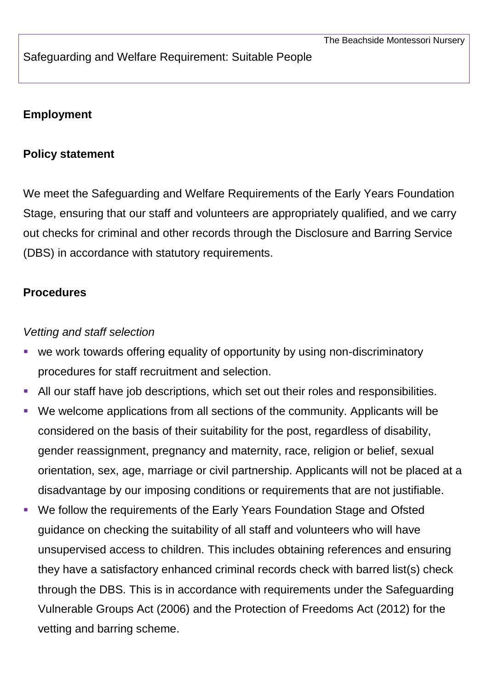### Safeguarding and Welfare Requirement: Suitable People

## **Employment**

#### **Policy statement**

We meet the Safeguarding and Welfare Requirements of the Early Years Foundation Stage, ensuring that our staff and volunteers are appropriately qualified, and we carry out checks for criminal and other records through the Disclosure and Barring Service (DBS) in accordance with statutory requirements.

#### **Procedures**

#### *Vetting and staff selection*

- we work towards offering equality of opportunity by using non-discriminatory procedures for staff recruitment and selection.
- All our staff have job descriptions, which set out their roles and responsibilities.
- We welcome applications from all sections of the community. Applicants will be considered on the basis of their suitability for the post, regardless of disability, gender reassignment, pregnancy and maternity, race, religion or belief, sexual orientation, sex, age, marriage or civil partnership. Applicants will not be placed at a disadvantage by our imposing conditions or requirements that are not justifiable.
- We follow the requirements of the Early Years Foundation Stage and Ofsted guidance on checking the suitability of all staff and volunteers who will have unsupervised access to children. This includes obtaining references and ensuring they have a satisfactory enhanced criminal records check with barred list(s) check through the DBS. This is in accordance with requirements under the Safeguarding Vulnerable Groups Act (2006) and the Protection of Freedoms Act (2012) for the vetting and barring scheme.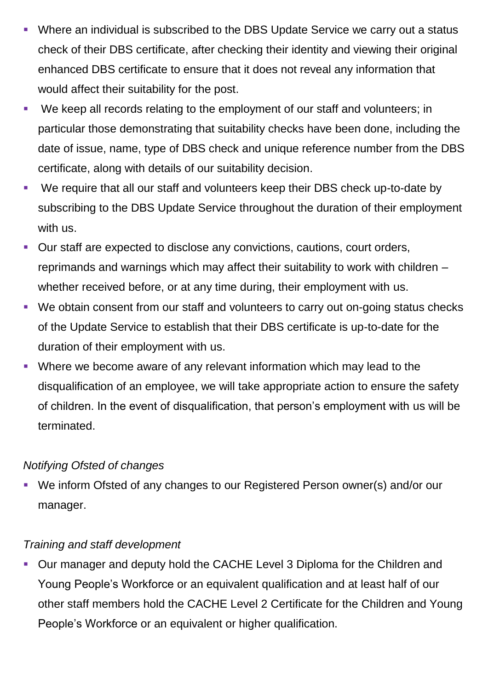- Where an individual is subscribed to the DBS Update Service we carry out a status check of their DBS certificate, after checking their identity and viewing their original enhanced DBS certificate to ensure that it does not reveal any information that would affect their suitability for the post.
- We keep all records relating to the employment of our staff and volunteers; in particular those demonstrating that suitability checks have been done, including the date of issue, name, type of DBS check and unique reference number from the DBS certificate, along with details of our suitability decision.
- We require that all our staff and volunteers keep their DBS check up-to-date by subscribing to the DBS Update Service throughout the duration of their employment with us.
- Our staff are expected to disclose any convictions, cautions, court orders, reprimands and warnings which may affect their suitability to work with children – whether received before, or at any time during, their employment with us.
- We obtain consent from our staff and volunteers to carry out on-going status checks of the Update Service to establish that their DBS certificate is up-to-date for the duration of their employment with us.
- Where we become aware of any relevant information which may lead to the disqualification of an employee, we will take appropriate action to ensure the safety of children. In the event of disqualification, that person's employment with us will be terminated.

# *Notifying Ofsted of changes*

 We inform Ofsted of any changes to our Registered Person owner(s) and/or our manager.

# *Training and staff development*

 Our manager and deputy hold the CACHE Level 3 Diploma for the Children and Young People's Workforce or an equivalent qualification and at least half of our other staff members hold the CACHE Level 2 Certificate for the Children and Young People's Workforce or an equivalent or higher qualification.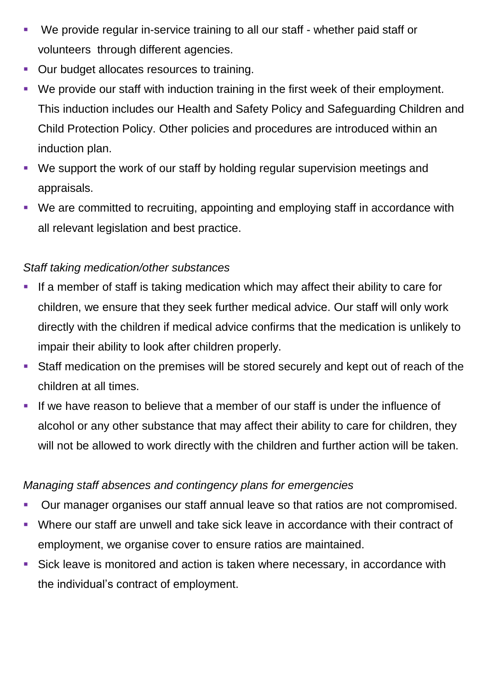- We provide regular in-service training to all our staff whether paid staff or volunteers through different agencies.
- **Our budget allocates resources to training.**
- We provide our staff with induction training in the first week of their employment. This induction includes our Health and Safety Policy and Safeguarding Children and Child Protection Policy. Other policies and procedures are introduced within an induction plan.
- We support the work of our staff by holding regular supervision meetings and appraisals.
- We are committed to recruiting, appointing and employing staff in accordance with all relevant legislation and best practice.

# *Staff taking medication/other substances*

- **If a member of staff is taking medication which may affect their ability to care for** children, we ensure that they seek further medical advice. Our staff will only work directly with the children if medical advice confirms that the medication is unlikely to impair their ability to look after children properly.
- Staff medication on the premises will be stored securely and kept out of reach of the children at all times.
- If we have reason to believe that a member of our staff is under the influence of alcohol or any other substance that may affect their ability to care for children, they will not be allowed to work directly with the children and further action will be taken.

## *Managing staff absences and contingency plans for emergencies*

- Our manager organises our staff annual leave so that ratios are not compromised.
- Where our staff are unwell and take sick leave in accordance with their contract of employment, we organise cover to ensure ratios are maintained.
- Sick leave is monitored and action is taken where necessary, in accordance with the individual's contract of employment.